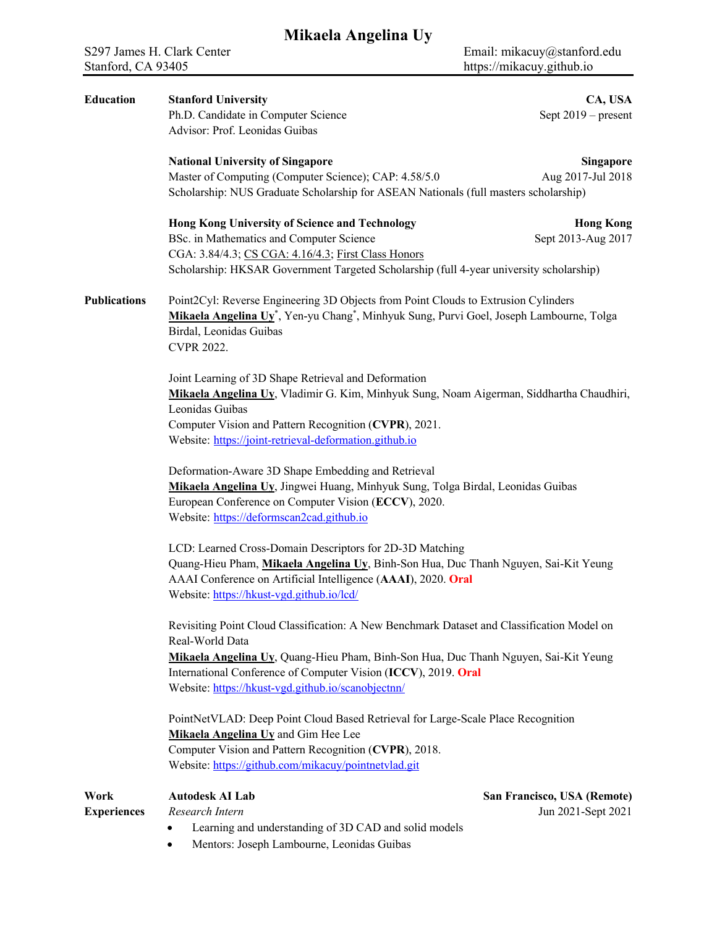| <b>Education</b>    | <b>Stanford University</b>                                                                                                                                                                                                                                    | CA, USA                     |  |
|---------------------|---------------------------------------------------------------------------------------------------------------------------------------------------------------------------------------------------------------------------------------------------------------|-----------------------------|--|
|                     | Ph.D. Candidate in Computer Science                                                                                                                                                                                                                           | Sept $2019$ – present       |  |
|                     | Advisor: Prof. Leonidas Guibas                                                                                                                                                                                                                                |                             |  |
|                     | <b>National University of Singapore</b>                                                                                                                                                                                                                       | Singapore                   |  |
|                     | Master of Computing (Computer Science); CAP: 4.58/5.0                                                                                                                                                                                                         | Aug 2017-Jul 2018           |  |
|                     | Scholarship: NUS Graduate Scholarship for ASEAN Nationals (full masters scholarship)                                                                                                                                                                          |                             |  |
|                     | Hong Kong University of Science and Technology                                                                                                                                                                                                                | <b>Hong Kong</b>            |  |
|                     | BSc. in Mathematics and Computer Science                                                                                                                                                                                                                      | Sept 2013-Aug 2017          |  |
|                     | CGA: 3.84/4.3; CS CGA: 4.16/4.3; First Class Honors                                                                                                                                                                                                           |                             |  |
|                     | Scholarship: HKSAR Government Targeted Scholarship (full 4-year university scholarship)                                                                                                                                                                       |                             |  |
| <b>Publications</b> | Point2Cyl: Reverse Engineering 3D Objects from Point Clouds to Extrusion Cylinders<br>Mikaela Angelina Uy*, Yen-yu Chang*, Minhyuk Sung, Purvi Goel, Joseph Lambourne, Tolga<br>Birdal, Leonidas Guibas<br><b>CVPR 2022.</b>                                  |                             |  |
|                     | Joint Learning of 3D Shape Retrieval and Deformation<br>Mikaela Angelina Uy, Vladimir G. Kim, Minhyuk Sung, Noam Aigerman, Siddhartha Chaudhiri,<br>Leonidas Guibas                                                                                           |                             |  |
|                     | Computer Vision and Pattern Recognition (CVPR), 2021.                                                                                                                                                                                                         |                             |  |
|                     | Website: https://joint-retrieval-deformation.github.io                                                                                                                                                                                                        |                             |  |
|                     | Deformation-Aware 3D Shape Embedding and Retrieval<br>Mikaela Angelina Uy, Jingwei Huang, Minhyuk Sung, Tolga Birdal, Leonidas Guibas<br>European Conference on Computer Vision (ECCV), 2020.<br>Website: https://deformscan2cad.github.io                    |                             |  |
|                     | LCD: Learned Cross-Domain Descriptors for 2D-3D Matching<br>Quang-Hieu Pham, Mikaela Angelina Uy, Binh-Son Hua, Duc Thanh Nguyen, Sai-Kit Yeung<br>AAAI Conference on Artificial Intelligence (AAAI), 2020. Oral<br>Website: https://hkust-vgd.github.io/lcd/ |                             |  |
|                     | Revisiting Point Cloud Classification: A New Benchmark Dataset and Classification Model on<br>Real-World Data                                                                                                                                                 |                             |  |
|                     | Mikaela Angelina Uy, Quang-Hieu Pham, Binh-Son Hua, Duc Thanh Nguyen, Sai-Kit Yeung                                                                                                                                                                           |                             |  |
|                     | International Conference of Computer Vision (ICCV), 2019. Oral                                                                                                                                                                                                |                             |  |
|                     | Website: https://hkust-vgd.github.io/scanobjectnn/                                                                                                                                                                                                            |                             |  |
|                     | PointNetVLAD: Deep Point Cloud Based Retrieval for Large-Scale Place Recognition<br>Mikaela Angelina Uy and Gim Hee Lee                                                                                                                                       |                             |  |
|                     | Computer Vision and Pattern Recognition (CVPR), 2018.                                                                                                                                                                                                         |                             |  |
|                     | Website: https://github.com/mikacuy/pointnetvlad.git                                                                                                                                                                                                          |                             |  |
| Work                | <b>Autodesk AI Lab</b>                                                                                                                                                                                                                                        | San Francisco, USA (Remote) |  |
| <b>Experiences</b>  | Research Intern                                                                                                                                                                                                                                               | Jun 2021-Sept 2021          |  |
|                     | Learning and understanding of 3D CAD and solid models<br>٠                                                                                                                                                                                                    |                             |  |

• Mentors: Joseph Lambourne, Leonidas Guibas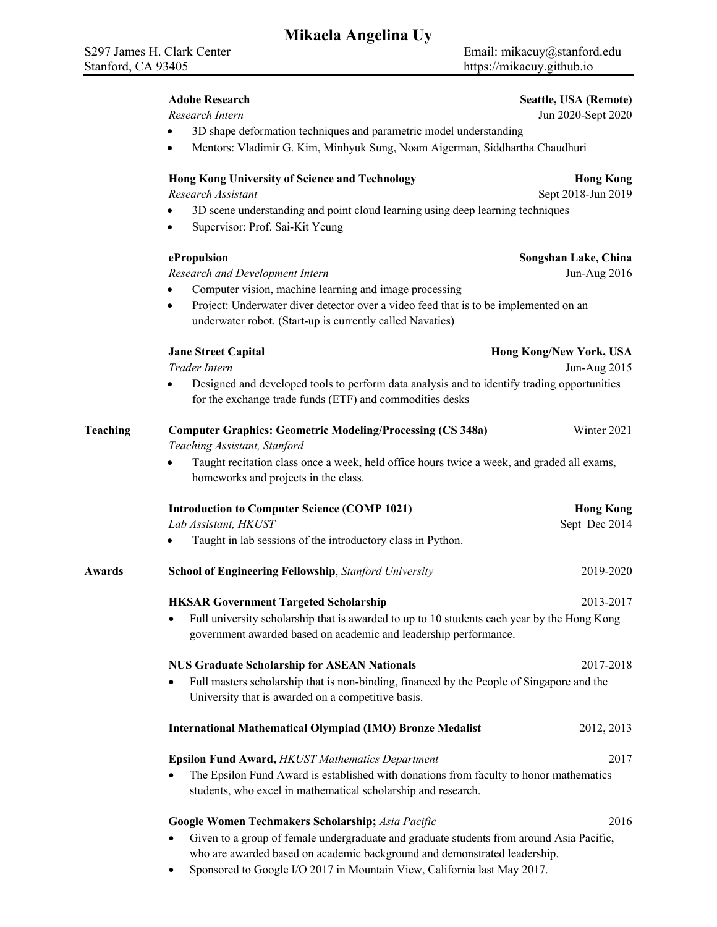- 3D shape deformation techniques and parametric model understanding
	- Mentors: Vladimir G. Kim, Minhyuk Sung, Noam Aigerman, Siddhartha Chaudhuri

### **Hong Kong University of Science and Technology <b>Hong Kong** Hong Kong

**Research Assistant** Sept 2018-Jun 2019

- 3D scene understanding and point cloud learning using deep learning techniques
- Supervisor: Prof. Sai-Kit Yeung

*Research and Development Intern* Jun-Aug 2016

- Computer vision, machine learning and image processing
- Project: Underwater diver detector over a video feed that is to be implemented on an underwater robot. (Start-up is currently called Navatics)

#### **Jane Street Capital Hong Kong/New York, USA**

*Trader Intern* Jun-Aug 2015

• Designed and developed tools to perform data analysis and to identify trading opportunities for the exchange trade funds (ETF) and commodities desks

| Teaching | <b>Computer Graphics: Geometric Modeling/Processing (CS 348a)</b>                                                                       | Winter 2021      |  |  |
|----------|-----------------------------------------------------------------------------------------------------------------------------------------|------------------|--|--|
|          | Teaching Assistant, Stanford                                                                                                            |                  |  |  |
|          | Taught recitation class once a week, held office hours twice a week, and graded all exams,<br>٠<br>homeworks and projects in the class. |                  |  |  |
|          | <b>Introduction to Computer Science (COMP 1021)</b>                                                                                     | <b>Hong Kong</b> |  |  |
|          | Lab Assistant, HKUST                                                                                                                    | Sept-Dec 2014    |  |  |
|          | Taught in lab sessions of the introductory class in Python.<br>$\bullet$                                                                |                  |  |  |

**Awards School of Engineering Fellowship**, *Stanford University* 2019-2020 **HKSAR Government Targeted Scholarship** 2013-2017 • Full university scholarship that is awarded to up to 10 students each year by the Hong Kong government awarded based on academic and leadership performance.

## **NUS Graduate Scholarship for ASEAN Nationals** 2017-2018 • Full masters scholarship that is non-binding, financed by the People of Singapore and the University that is awarded on a competitive basis.

## **International Mathematical Olympiad (IMO) Bronze Medalist** 2012, 2013

# **Epsilon Fund Award,** *HKUST Mathematics Department* 2017

• The Epsilon Fund Award is established with donations from faculty to honor mathematics students, who excel in mathematical scholarship and research.

## **Google Women Techmakers Scholarship;** *Asia Pacific* 2016

- 
- Given to a group of female undergraduate and graduate students from around Asia Pacific, who are awarded based on academic background and demonstrated leadership.
- Sponsored to Google I/O 2017 in Mountain View, California last May 2017.

#### **Adobe Research Seattle, USA (Remote)**

*Research Intern* Jun 2020-Sept 2020

**ePropulsion Songshan Lake, China**